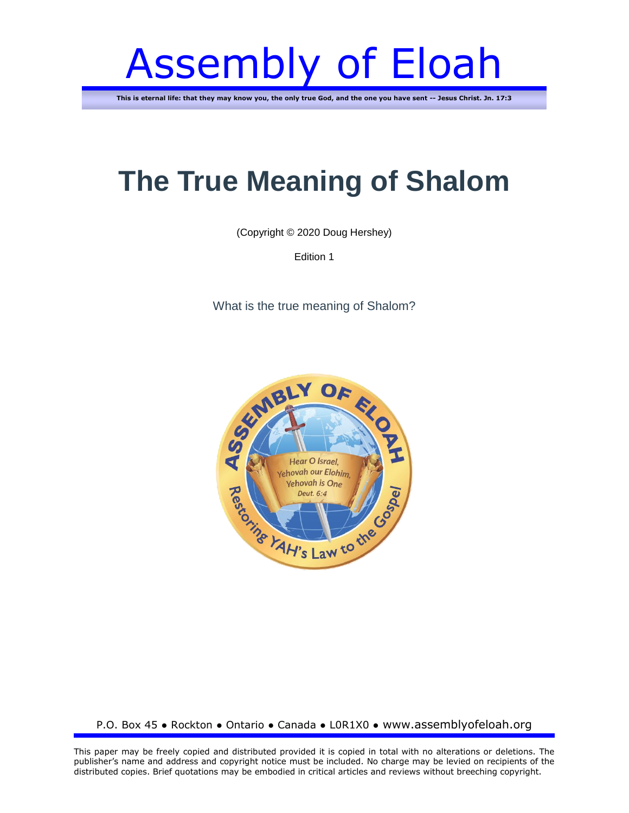# Assembly of Eloah

**This is eternal life: that they may know you, the only true God, and the one you have sent -- Jesus Christ. Jn. 17:3**

## **The True Meaning of Shalom**

(Copyright © 2020 Doug Hershey)

Edition 1

What is the true meaning of Shalom?



#### P.O. Box 45 ● Rockton ● Ontario ● Canada ● L0R1X0 ● www.assemblyofeloah.org

This paper may be freely copied and distributed provided it is copied in total with no alterations or deletions. The publisher's name and address and copyright notice must be included. No charge may be levied on recipients of the distributed copies. Brief quotations may be embodied in critical articles and reviews without breeching copyright.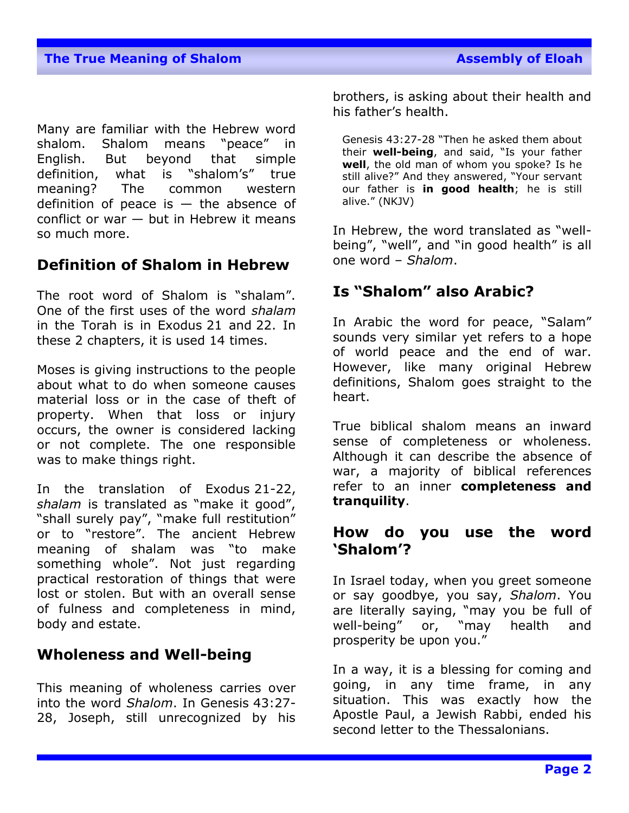Many are familiar with the Hebrew word shalom. Shalom means "peace" in English. But beyond that simple definition, what is "shalom's" true meaning? The common western definition of peace is  $-$  the absence of conflict or war — but in Hebrew it means so much more.

#### **Definition of Shalom in Hebrew**

The root word of Shalom is "shalam". One of the first uses of the word *shalam* in the Torah is in Exodus 21 and 22. In these 2 chapters, it is used 14 times.

Moses is giving instructions to the people about what to do when someone causes material loss or in the case of theft of property. When that loss or injury occurs, the owner is considered lacking or not complete. The one responsible was to make things right.

In the translation of Exodus 21-22, *shalam* is translated as "make it good", "shall surely pay", "make full restitution" or to "restore". The ancient Hebrew meaning of shalam was "to make something whole". Not just regarding practical restoration of things that were lost or stolen. But with an overall sense of fulness and completeness in mind, body and estate.

#### **Wholeness and Well-being**

This meaning of wholeness carries over into the word *Shalom*. In Genesis 43:27- 28, Joseph, still unrecognized by his

brothers, is asking about their health and his father's health.

Genesis 43:27-28 "Then he asked them about their **well-being**, and said, "Is your father **well**, the old man of whom you spoke? Is he still alive?" And they answered, "Your servant our father is **in good health**; he is still alive." (NKJV)

In Hebrew, the word translated as "wellbeing", "well", and "in good health" is all one word – *Shalom*.

## **Is "Shalom" also Arabic?**

In Arabic the word for peace, "Salam" sounds very similar yet refers to a hope of world peace and the end of war. However, like many original Hebrew definitions, Shalom goes straight to the heart.

True biblical shalom means an inward sense of completeness or wholeness. Although it can describe the absence of war, a majority of biblical references refer to an inner **completeness and tranquility**.

#### **How do you use the word 'Shalom'?**

In Israel today, when you greet someone or say goodbye, you say, *Shalom*. You are literally saying, "may you be full of well-being" or, "may health and prosperity be upon you."

In a way, it is a blessing for coming and going, in any time frame, in any situation. This was exactly how the Apostle Paul, a Jewish Rabbi, ended his second letter to the Thessalonians.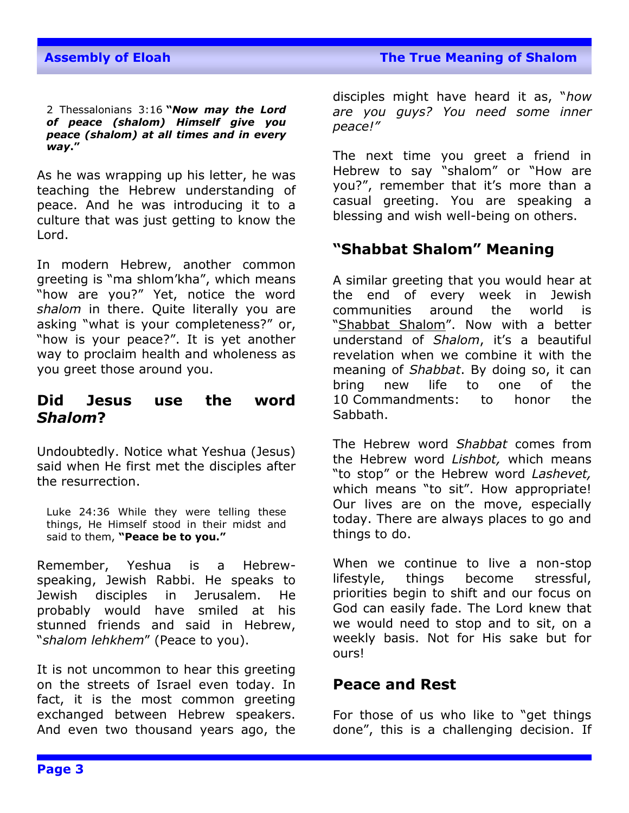2 Thessalonians 3:16 **"***Now may the Lord of peace (shalom) Himself give you peace (shalom) at all times and in every way***."**

As he was wrapping up his letter, he was teaching the Hebrew understanding of peace. And he was introducing it to a culture that was just getting to know the Lord.

In modern Hebrew, another common greeting is "ma shlom'kha", which means "how are you?" Yet, notice the word *shalom* in there. Quite literally you are asking "what is your completeness?" or, "how is your peace?". It is yet another way to proclaim health and wholeness as you greet those around you.

#### **Did Jesus use the word** *Shalom***?**

Undoubtedly. Notice what Yeshua (Jesus) said when He first met the disciples after the resurrection.

Luke 24:36 While they were telling these things, He Himself stood in their midst and said to them, **"Peace be to you."**

Remember, Yeshua is a Hebrewspeaking, Jewish Rabbi. He speaks to Jewish disciples in Jerusalem. He probably would have smiled at his stunned friends and said in Hebrew, "*shalom lehkhem*" (Peace to you).

It is not uncommon to hear this greeting on the streets of Israel even today. In fact, it is the most common greeting exchanged between Hebrew speakers. And even two thousand years ago, the disciples might have heard it as, "*how are you guys? You need some inner peace!"*

The next time you greet a friend in Hebrew to say "shalom" or "How are you?", remember that it's more than a casual greeting. You are speaking a blessing and wish well-being on others.

#### **"Shabbat Shalom" Meaning**

A similar greeting that you would hear at the end of every week in Jewish communities around the world is "[Shabbat](https://firmisrael.org/learn/shabbat-shalom-what-is-the-sabbath/) Shalom". Now with a better understand of *Shalom*, it's a beautiful revelation when we combine it with the meaning of *Shabbat*. By doing so, it can bring new life to one of the 10 Commandments: to honor the Sabbath.

The Hebrew word *Shabbat* comes from the Hebrew word *Lishbot,* which means "to stop" or the Hebrew word *Lashevet,* which means "to sit". How appropriate! Our lives are on the move, especially today. There are always places to go and things to do.

When we continue to live a non-stop lifestyle, things become stressful, priorities begin to shift and our focus on God can easily fade. The Lord knew that we would need to stop and to sit, on a weekly basis. Not for His sake but for ours!

#### **Peace and Rest**

For those of us who like to "get things done", this is a challenging decision. If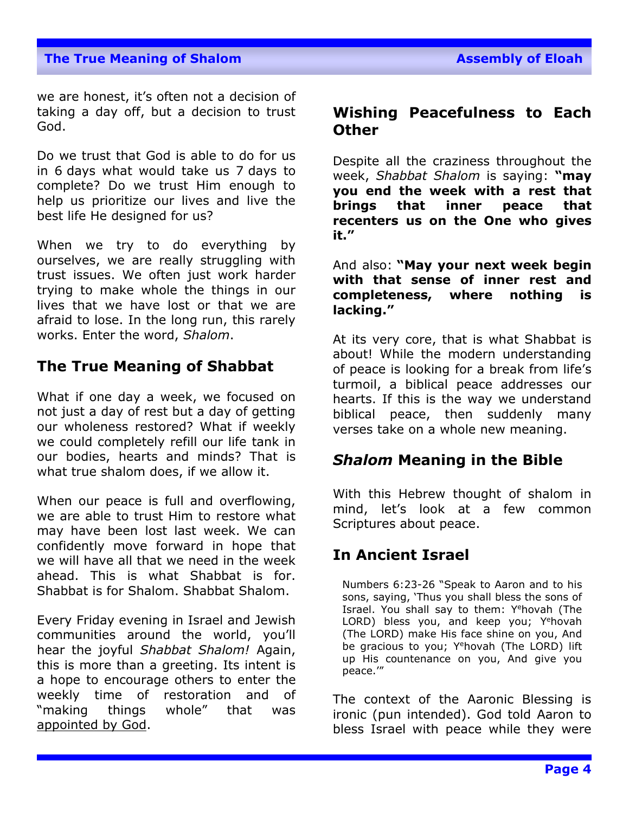we are honest, it's often not a decision of taking a day off, but a decision to trust God.

Do we trust that God is able to do for us in 6 days what would take us 7 days to complete? Do we trust Him enough to help us prioritize our lives and live the best life He designed for us?

When we try to do everything by ourselves, we are really struggling with trust issues. We often just work harder trying to make whole the things in our lives that we have lost or that we are afraid to lose. In the long run, this rarely works. Enter the word, *Shalom*.

#### **The True Meaning of Shabbat**

What if one day a week, we focused on not just a day of rest but a day of getting our wholeness restored? What if weekly we could completely refill our life tank in our bodies, hearts and minds? That is what true shalom does, if we allow it.

When our peace is full and overflowing, we are able to trust Him to restore what may have been lost last week. We can confidently move forward in hope that we will have all that we need in the week ahead. This is what Shabbat is for. Shabbat is for Shalom. Shabbat Shalom.

Every Friday evening in Israel and Jewish communities around the world, you'll hear the joyful *Shabbat Shalom!* Again, this is more than a greeting. Its intent is a hope to encourage others to enter the weekly time of restoration and of "making things whole" that was [appointed](https://firmisrael.org/learn/what-are-the-moedim/) by God.

#### **Wishing Peacefulness to Each Other**

Despite all the craziness throughout the week, *Shabbat Shalom* is saying: **"may you end the week with a rest that brings that inner peace that recenters us on the One who gives it."**

And also: **"May your next week begin with that sense of inner rest and completeness, where nothing is lacking."**

At its very core, that is what Shabbat is about! While the modern understanding of peace is looking for a break from life's turmoil, a biblical peace addresses our hearts. If this is the way we understand biblical peace, then suddenly many verses take on a whole new meaning.

#### *Shalom* **Meaning in the Bible**

With this Hebrew thought of shalom in mind, let's look at a few common Scriptures about peace.

## **In Ancient Israel**

Numbers 6:23-26 "Speak to Aaron and to his sons, saying, 'Thus you shall bless the sons of Israel. You shall say to them: Y<sup>e</sup>hovah (The LORD) bless you, and keep you; Y<sup>e</sup>hovah (The LORD) make His face shine on you, And be gracious to you; Y<sup>e</sup>hovah (The LORD) lift up His countenance on you, And give you peace.'"

The context of the Aaronic Blessing is ironic (pun intended). God told Aaron to bless Israel with peace while they were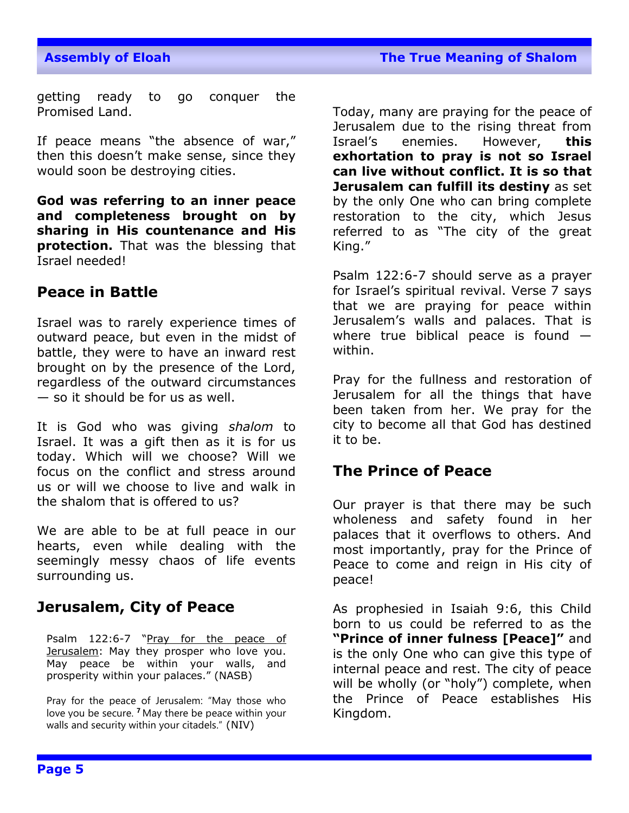getting ready to go conquer the Promised Land.

If peace means "the absence of war," then this doesn't make sense, since they would soon be destroying cities.

**God was referring to an inner peace and completeness brought on by sharing in His countenance and His protection.** That was the blessing that Israel needed!

#### **Peace in Battle**

Israel was to rarely experience times of outward peace, but even in the midst of battle, they were to have an inward rest brought on by the presence of the Lord, regardless of the outward circumstances — so it should be for us as well.

It is God who was giving *shalom* to Israel. It was a gift then as it is for us today. Which will we choose? Will we focus on the conflict and stress around us or will we choose to live and walk in the shalom that is offered to us?

We are able to be at full peace in our hearts, even while dealing with the seemingly messy chaos of life events surrounding us.

#### **Jerusalem, City of Peace**

Psalm 122:6-7 "Pray for the [peace](https://firmisrael.org/learn/how-to-pray-for-the-peace-of-jerusalem/) of [Jerusalem:](https://firmisrael.org/learn/how-to-pray-for-the-peace-of-jerusalem/) May they prosper who love you. May peace be within your walls, and prosperity within your palaces." (NASB)

Pray for the peace of Jerusalem: "May those who love you be secure. **<sup>7</sup>** May there be peace within your walls and security within your citadels." (NIV)

Today, many are praying for the peace of Jerusalem due to the rising threat from Israel's enemies. However, **this exhortation to pray is not so Israel can live without conflict. It is so that Jerusalem can fulfill its destiny** as set by the only One who can bring complete restoration to the city, which Jesus referred to as "The city of the great King."

Psalm 122:6-7 should serve as a prayer for Israel's spiritual revival. Verse 7 says that we are praying for peace within Jerusalem's walls and palaces. That is where true biblical peace is found within.

Pray for the fullness and restoration of Jerusalem for all the things that have been taken from her. We pray for the city to become all that God has destined it to be.

#### **The Prince of Peace**

Our prayer is that there may be such wholeness and safety found in her palaces that it overflows to others. And most importantly, pray for the Prince of Peace to come and reign in His city of peace!

As prophesied in Isaiah 9:6, this Child born to us could be referred to as the **"Prince of inner fulness [Peace]"** and is the only One who can give this type of internal peace and rest. The city of peace will be wholly (or "holy") complete, when the Prince of Peace establishes His Kingdom.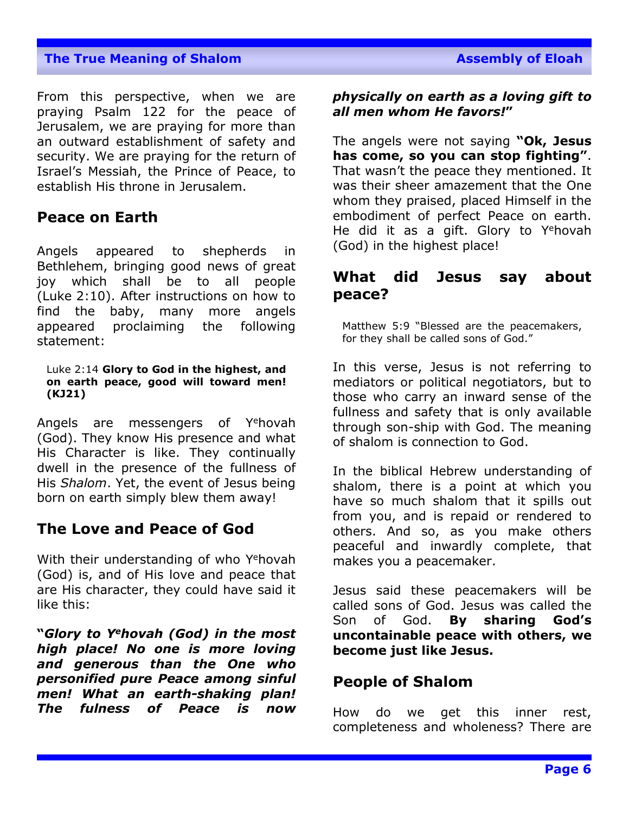#### **The True Meaning of Shalom Assembly of Eloah** *Assembly of Eloah*

From this perspective, when we are praying Psalm 122 for the peace of Jerusalem, we are praying for more than an outward establishment of safety and security. We are praying for the return of Israel's Messiah, the Prince of Peace, to establish His throne in Jerusalem.

#### **Peace on Earth**

Angels appeared to shepherds in Bethlehem, bringing good news of great joy which shall be to all people (Luke 2:10). After instructions on how to find the baby, many more angels appeared proclaiming the following statement:

#### Luke 2:14 **Glory to God in the highest, and on earth peace, good will toward men! (KJ21)**

Angels are messengers of Y<sup>e</sup>hovah (God). They know His presence and what His Character is like. They continually dwell in the presence of the fullness of His *Shalom*. Yet, the event of Jesus being born on earth simply blew them away!

#### **The Love and Peace of God**

With their understanding of who Yehovah (God) is, and of His love and peace that are His character, they could have said it like this:

**"***Glory to Y<sup>e</sup>hovah (God) in the most high place! No one is more loving and generous than the One who personified pure Peace among sinful men! What an earth-shaking plan! The fulness of Peace is now*

#### *physically on earth as a loving gift to all men whom He favors!***"**

The angels were not saying **"Ok, Jesus has come, so you can stop fighting"**. That wasn't the peace they mentioned. It was their sheer amazement that the One whom they praised, placed Himself in the embodiment of perfect Peace on earth. He did it as a gift. Glory to Yehovah (God) in the highest place!

#### **What did Jesus say about peace?**

Matthew 5:9 "Blessed are the peacemakers, for they shall be called sons of God."

In this verse, Jesus is not referring to mediators or political negotiators, but to those who carry an inward sense of the fullness and safety that is only available through son-ship with God. The meaning of shalom is connection to God.

In the biblical Hebrew understanding of shalom, there is a point at which you have so much shalom that it spills out from you, and is repaid or rendered to others. And so, as you make others peaceful and inwardly complete, that makes you a peacemaker.

Jesus said these peacemakers will be called sons of God. Jesus was called the Son of God. **By sharing God's uncontainable peace with others, we become just like Jesus.**

#### **People of Shalom**

How do we get this inner rest, completeness and wholeness? There are